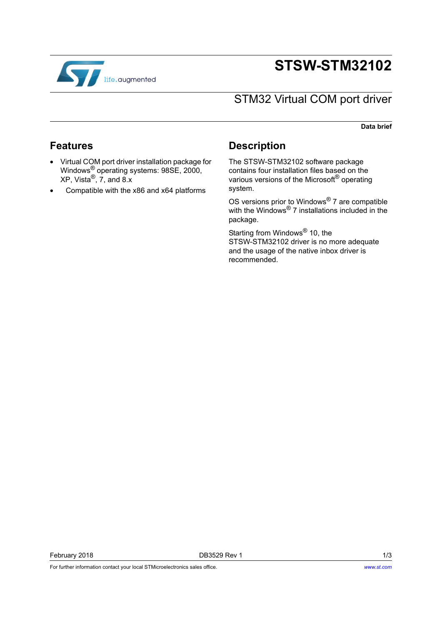

# **STSW-STM32102**

## STM32 Virtual COM port driver

**Data brief**

### **Features**

- Virtual COM port driver installation package for Windows<sup>®</sup> operating systems: 98SE, 2000, XP, Vista $^{\circledR}$ , 7, and 8.x
- Compatible with the x86 and x64 platforms

### **Description**

The STSW-STM32102 software package contains four installation files based on the various versions of the Microsoft<sup>®</sup> operating system.

OS versions prior to Windows® 7 are compatible with the Windows<sup>®</sup> 7 installations included in the package.

Starting from Windows® 10, the STSW-STM32102 driver is no more adequate and the usage of the native inbox driver is recommended.

For further information contact your local STMicroelectronics sales office.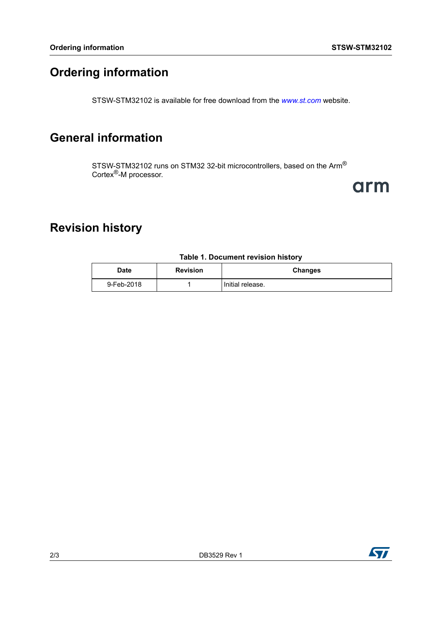arm

## **Ordering information**

STSW-STM32102 is available for free download from the *www.st.com* website.

## **General information**

STSW-STM32102 runs on STM32 32-bit microcontrollers, based on the Arm<sup>®</sup> Cortex®-M processor.

# **Revision history**

| Date       | <b>Revision</b> | <b>Changes</b>   |
|------------|-----------------|------------------|
| 9-Feb-2018 |                 | Initial release. |

#### **Table 1. Document revision history**